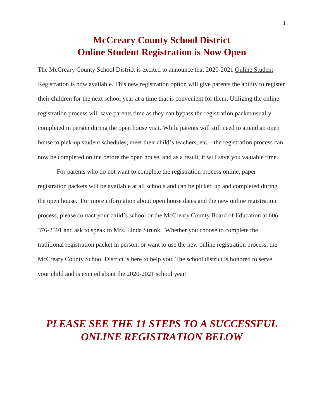## **McCreary County School District Online Student Registration is Now Open**

The McCreary County School District is excited to announce that 2020-2021 Online Student Registration is now available. This new registration option will give parents the ability to register their children for the next school year at a time that is convenient for them. Utilizing the online registration process will save parents time as they can bypass the registration packet usually completed in person during the open house visit. While parents will still need to attend an open house to pick-up student schedules, meet their child's teachers, etc. - the registration process can now be completed online before the open house, and as a result, it will save you valuable time.

For parents who do not want to complete the registration process online, paper registration packets will be available at all schools and can be picked up and completed during the open house. For more information about open house dates and the new online registration process, please contact your child's school or the McCreary County Board of Education at 606 376-2591 and ask to speak to Mrs. Linda Strunk. Whether you choose to complete the traditional registration packet in person, or want to use the new online registration process, the McCreary County School District is here to help you. The school district is honored to serve your child and is excited about the 2020-2021 school year!

# *PLEASE SEE THE 11 STEPS TO A SUCCESSFUL ONLINE REGISTRATION BELOW*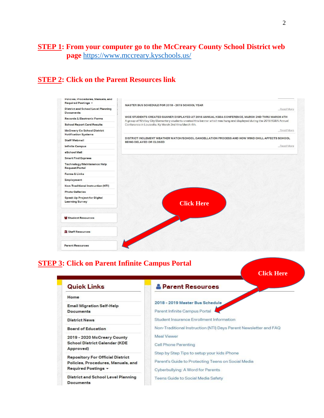### **STEP 1: From your computer go to the McCreary County School District web page** <https://www.mccreary.kyschools.us/>

## **STEP 2: Click on the Parent Resources link**

| Required Postings -                                               | <b>MASTER BUS SCHEDULE FOR 2018 - 2019 SCHOOL YEAR</b>                                                                                                                             |
|-------------------------------------------------------------------|------------------------------------------------------------------------------------------------------------------------------------------------------------------------------------|
| <b>District and School Level Planning</b>                         | Read More                                                                                                                                                                          |
| <b>Documents</b><br><b>Records &amp; Electronic Forms</b>         | WCE STUDENTS CREATED BANNER DISPLAYED AT 2018 ANNUAL KSBA CONFERENCE. MARCH 2ND THRU MARCH 4TH                                                                                     |
| <b>School Report Card Results</b>                                 | A group of Whitley City Elementary students created this banner which was hung and displayed during the 2018 KSBA Annual<br>Conference in Louisville, Ky March 2nd thru March 4th. |
| <b>McCreary Co School District</b><br><b>Notification Systems</b> | Read More                                                                                                                                                                          |
| <b>Staff Webmail</b>                                              | DISTRICT INCLEMENT WEATHER WATCH/SCHOOL CANCELLATION PROCESS AND HOW WIND CHILL AFFECTS SCHOOL<br><b>BEING DELAYED OR CLOSED</b>                                                   |
| <b>Infinite Campus</b>                                            | Read More                                                                                                                                                                          |
| eSchool Mall                                                      |                                                                                                                                                                                    |
| <b>Smart Find Express</b>                                         |                                                                                                                                                                                    |
| Technology/Maintenance Help<br>Request/Portal                     |                                                                                                                                                                                    |
| Forms & Links                                                     |                                                                                                                                                                                    |
| Employment                                                        |                                                                                                                                                                                    |
| Non-Traditional Instruction (NTI)                                 |                                                                                                                                                                                    |
| <b>Photo Galleries</b>                                            |                                                                                                                                                                                    |
| Speak Up Project for Digital<br><b>Learning Survey</b>            | <b>Click Here</b>                                                                                                                                                                  |
| <sup>26</sup> Student Resources                                   |                                                                                                                                                                                    |
| <b>III</b> Staff Resources                                        |                                                                                                                                                                                    |
| <b>Parent Resources</b>                                           |                                                                                                                                                                                    |

## **STEP 3: Click on Parent Infinite Campus Portal**

**Click Here**

| <b>Quick Links</b>                                                                                   | <b>&amp; Parent Resources</b>                                                                                                          |
|------------------------------------------------------------------------------------------------------|----------------------------------------------------------------------------------------------------------------------------------------|
| Home                                                                                                 |                                                                                                                                        |
| <b>Email Migration Self-Help</b><br><b>Documents</b>                                                 | 2018 - 2019 Master Bus Schedule<br>Parent Infinite Campus Portal                                                                       |
| <b>District News</b>                                                                                 | Student Insurance Enrollment Information                                                                                               |
| <b>Board of Education</b>                                                                            | Non-Traditional Instruction (NTI) Days Parent Newsletter and FAQ                                                                       |
| 2019 - 2020 McCreary County<br><b>School District Calendar (KDE</b><br>Approved)                     | <b>Meal Viewer</b><br>Cell Phone Parenting                                                                                             |
| <b>Repository For Official District</b><br>Policies, Procedures, Manuals, and<br>Required Postings - | Step by Step Tips to setup your kids iPhone<br>Parent's Guide to Protecting Teens on Social Media<br>Cyberbullying: A Word for Parents |
| District and School Level Planning<br>Documents                                                      | Teens Guide to Social Media Safety                                                                                                     |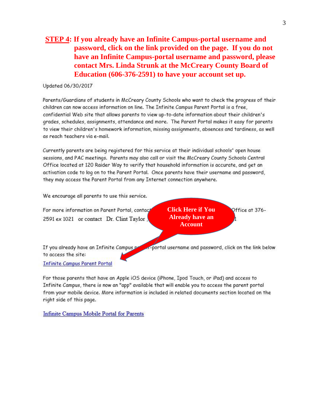#### **STEP 4: If you already have an Infinite Campus-portal username and** password, click on the link provided on the page. If you do not have an Infinite Campus-portal username and password, please contact Mrs. Linda Strunk at the McCreary County Board of Education (606-376-2591) to have your account set up.

#### Updated 06/30/2017

Parents/Guardians of students in McCreary County Schools who want to check the progress of their children can now access information on line. The Infinite Campus Parent Portal is a free, confidential Web site that allows parents to view up-to-date information about their children's grades, schedules, assignments, attendance and more. The Parent Portal makes it easy for parents to view their children's homework information, missing assignments, absences and tardiness, as well as reach teachers via e-mail.

Currently parents are being registered for this service at their individual schools' open house sessions, and PAC meetings. Parents may also call or visit the McCreary County Schools Central Office located at 120 Raider Way to verify that household information is accurate, and get an activation code to log on to the Parent Portal. Once parents have their username and password, they may access the Parent Portal from any Internet connection anywhere.

We encourage all parents to use this service.

For more information on Parent Portal, contac 2591 ex 1021 or contact Dr. Clint Taylor

**Click Here if You Already have an Account** 

portal username and password, click on the link below

Office at 376-

If you already have an Infinite Campus po to access the site:

**Infinite Campus Parent Portal** 

For those parents that have an Apple iOS device (iPhone, Ipod Touch, or iPad) and access to Infinite Campus, there is now an "app" available that will enable you to access the parent portal from your mobile device. More information is included in related documents section located on the right side of this page.

**Infinite Campus Mobile Portal for Parents**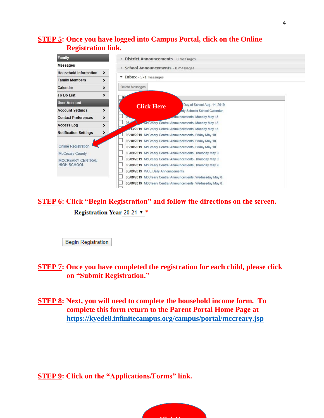#### **STEP 5: Once you have logged into Campus Portal, click on the Online Registration link.**

| Family                                        | <b>District Announcements - 0 messages</b>                 |  |  |  |  |
|-----------------------------------------------|------------------------------------------------------------|--|--|--|--|
| <b>Messages</b>                               | School Announcements - 0 messages                          |  |  |  |  |
| <b>Household Information</b><br>>             |                                                            |  |  |  |  |
| <b>Family Members</b><br>>                    | $\times$ Inbox - 571 messages                              |  |  |  |  |
| Calendar<br>⋗                                 | Delete Messages                                            |  |  |  |  |
| <b>To Do List</b><br>⋗                        |                                                            |  |  |  |  |
| <b>User Account</b>                           | Day of School Aug. 14, 2019                                |  |  |  |  |
| <b>Account Settings</b><br>⋗                  | <b>Click Here</b><br><b>Anty Schools School Calendar</b>   |  |  |  |  |
| <b>Contact Preferences</b><br>⋗               | nouncements, Monday May 13                                 |  |  |  |  |
| <b>Access Log</b><br>>                        | McCreary Central Announcements, Monday May 13<br>054       |  |  |  |  |
|                                               | 413/2019 McCreary Central Announcements, Monday May 13     |  |  |  |  |
| <b>Notification Settings</b><br>>             | 05/10/2019 McCreary Central Announcements, Friday May 10   |  |  |  |  |
|                                               | 05/10/2019 McCreary Central Announcements, Friday May 10   |  |  |  |  |
| <b>Online Registration</b>                    | 05/10/2019 McCreary Central Announcements, Friday May 10   |  |  |  |  |
| <b>McCreary County</b>                        | 05/09/2019 McCreary Central Announcements, Thursday May 9  |  |  |  |  |
| <b>MCCREARY CENTRAL</b><br><b>HIGH SCHOOL</b> | 05/09/2019 McCreary Central Announcements, Thursday May 9  |  |  |  |  |
|                                               | 05/09/2019 McCreary Central Announcements, Thursday May 9  |  |  |  |  |
|                                               | 05/09/2019 WCE Daily Announcements                         |  |  |  |  |
|                                               | 05/08/2019 McCreary Central Announcements, Wednesday May 8 |  |  |  |  |
|                                               | 05/08/2019 McCreary Central Announcements, Wednesday May 8 |  |  |  |  |
|                                               |                                                            |  |  |  |  |

## **STEP 6: Click "Begin Registration" and follow the directions on the screen.**  Registration Year 20-21 v \*

**Begin Registration** 

**STEP 7: Once you have completed the registration for each child, please click on "Submit Registration."** 

**STEP 8: Next, you will need to complete the household income form. To complete this form return to the Parent Portal Home Page at <https://kyede8.infinitecampus.org/campus/portal/mccreary.jsp>**

**STEP 9: Click on the "Applications/Forms" link.** 

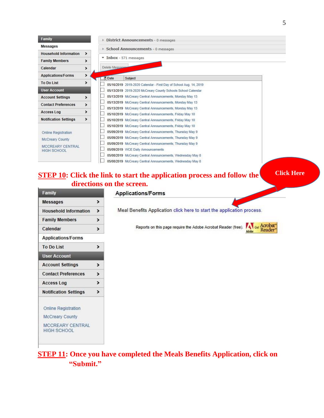| Family                                        |               |                                               | <b>District Announcements - 0 messages</b>                        |  |
|-----------------------------------------------|---------------|-----------------------------------------------|-------------------------------------------------------------------|--|
| Messages                                      |               |                                               | School Announcements - 0 messages                                 |  |
| <b>Household Information</b>                  | ⋗             |                                               |                                                                   |  |
| <b>Family Members</b>                         | ⋗             | $\overline{\phantom{a}}$ Inbox - 571 messages |                                                                   |  |
| Calendar                                      | ⋗             | Delete Message                                |                                                                   |  |
| <b>Applications/Forms</b>                     | ⋗             | Date                                          | Subject                                                           |  |
| To Do List                                    | ⋗             |                                               | 05/16/2019 2019-2020 Calendar - First Day of School Aug. 14, 2019 |  |
| <b>User Account</b>                           |               |                                               | 05/13/2019 2019-2020 McCreary County Schools School Calendar      |  |
| <b>Account Settings</b>                       | >             |                                               | 05/13/2019 McCreary Central Announcements, Monday May 13          |  |
| <b>Contact Preferences</b>                    | >             |                                               | 05/13/2019 McCreary Central Announcements, Monday May 13          |  |
| <b>Access Log</b>                             | ⋗             |                                               | 05/13/2019 McCreary Central Announcements, Monday May 13          |  |
|                                               |               |                                               | 05/10/2019 McCreary Central Announcements, Friday May 10          |  |
| <b>Notification Settings</b>                  | $\rightarrow$ |                                               | 05/10/2019 McCreary Central Announcements, Friday May 10          |  |
|                                               |               |                                               | 05/10/2019 McCreary Central Announcements, Friday May 10          |  |
| <b>Online Registration</b>                    |               |                                               | 05/09/2019 McCreary Central Announcements, Thursday May 9         |  |
| <b>McCreary County</b>                        |               |                                               | 05/09/2019 McCreary Central Announcements, Thursday May 9         |  |
|                                               |               |                                               | 05/09/2019 McCreary Central Announcements, Thursday May 9         |  |
| <b>MCCREARY CENTRAL</b><br><b>HIGH SCHOOL</b> |               |                                               | 05/09/2019 WCE Daily Announcements                                |  |
|                                               |               |                                               | 05/08/2019 McCreary Central Announcements, Wednesday May 8        |  |
|                                               |               |                                               | 05/08/2019 McCreary Central Announcements, Wednesday May 8        |  |

### **STEP 10: Click the link to start the application process and follow the directions on the screen.**

**Click Here**

| <b>Messages</b>                               | ゝ                     |
|-----------------------------------------------|-----------------------|
| <b>Household Information</b>                  | ⋗                     |
| <b>Family Members</b>                         | >                     |
| Calendar                                      | >                     |
| <b>Applications/Forms</b>                     |                       |
| To Do List                                    | >                     |
| <b>User Account</b>                           |                       |
| <b>Account Settings</b>                       | ⋗                     |
| <b>Contact Preferences</b>                    | $\blacktriangleright$ |
| <b>Access Log</b>                             | $\blacktriangleright$ |
| <b>Notification Settings</b>                  | $\mathbf{r}$          |
| <b>Online Registration</b>                    |                       |
| <b>McCreary County</b>                        |                       |
| <b>MCCREARY CENTRAL</b><br><b>HIGH SCHOOL</b> |                       |

#### **Applications/Forms**

Meal Benefits Application click here to start the application process.

Reports on this page require the Adobe Acrobat Reader (free). Adobe Reader<sup>®</sup>



## **STEP 11: Once you have completed the Meals Benefits Application, click on "Submit."**